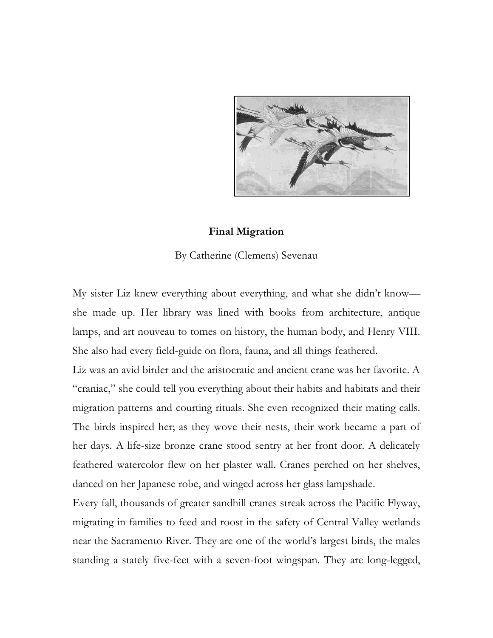

## **Final Migration**

By Catherine (Clemens) Sevenau

My sister Liz knew everything about everything, and what she didn't know she made up. Her library was lined with books from architecture, antique lamps, and art nouveau to tomes on history, the human body, and Henry VIII. She also had every field-guide on flora, fauna, and all things feathered.

Liz was an avid birder and the aristocratic and ancient crane was her favorite. A "craniac," she could tell you everything about their habits and habitats and their migration patterns and courting rituals. She even recognized their mating calls. The birds inspired her; as they wove their nests, their work became a part of her days. A life-size bronze crane stood sentry at her front door. A delicately feathered watercolor flew on her plaster wall. Cranes perched on her shelves, danced on her Japanese robe, and winged across her glass lampshade.

Every fall, thousands of greater sandhill cranes streak across the Pacific Flyway, migrating in families to feed and roost in the safety of Central Valley wetlands near the Sacramento River. They are one of the world's largest birds, the males standing a stately five-feet with a seven-foot wingspan. They are long-legged,